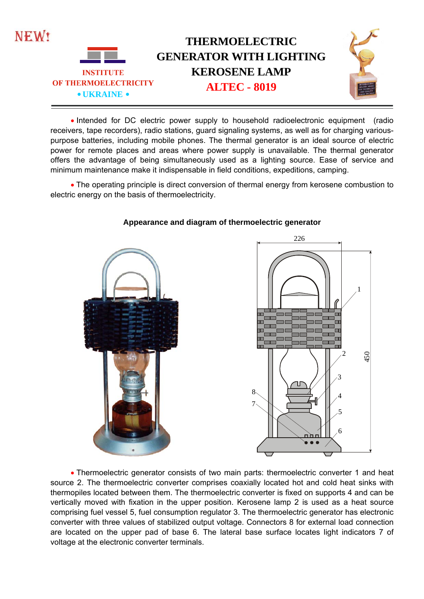

 Intended for DC electric power supply to household radioelectronic equipment (radio receivers, tape recorders), radio stations, guard signaling systems, as well as for charging variouspurpose batteries, including mobile phones. The thermal generator is an ideal source of electric power for remote places and areas where power supply is unavailable. The thermal generator offers the advantage of being simultaneously used as a lighting source. Ease of service and minimum maintenance make it indispensable in field conditions, expeditions, camping.

• The operating principle is direct conversion of thermal energy from kerosene combustion to electric energy on the basis of thermoelectricity.



## **Appearance and diagram of thermoelectric generator**



 Thermoelectric generator consists of two main parts: thermoelectric converter 1 and heat source 2. The thermoelectric converter comprises coaxially located hot and cold heat sinks with thermopiles located between them. The thermoelectric converter is fixed on supports 4 and can be vertically moved with fixation in the upper position. Kerosene lamp 2 is used as a heat source comprising fuel vessel 5, fuel consumption regulator 3. The thermoelectric generator has electronic converter with three values of stabilized output voltage. Connectors 8 for external load connection are located on the upper pad of base 6. The lateral base surface locates light indicators 7 of voltage at the electronic converter terminals.